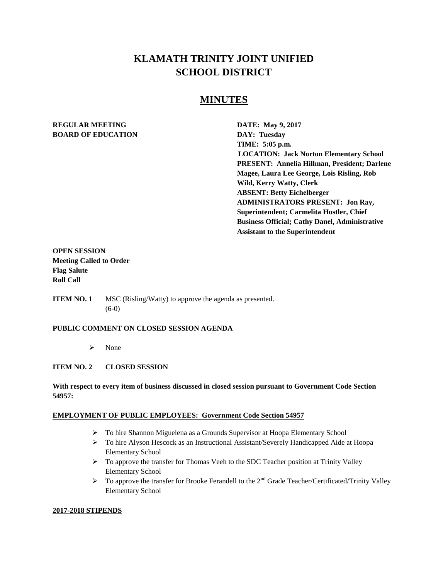# **KLAMATH TRINITY JOINT UNIFIED SCHOOL DISTRICT**

# **MINUTES**

# **REGULAR MEETING DATE:** May 9, 2017 **BOARD OF EDUCATION DAY: Tuesday**

**TIME: 5:05 p.m. LOCATION: Jack Norton Elementary School PRESENT: Annelia Hillman, President; Darlene Magee, Laura Lee George, Lois Risling, Rob Wild, Kerry Watty, Clerk ABSENT: Betty Eichelberger ADMINISTRATORS PRESENT: Jon Ray, Superintendent; Carmelita Hostler, Chief Business Official; Cathy Danel, Administrative Assistant to the Superintendent** 

# **OPEN SESSION Meeting Called to Order Flag Salute Roll Call**

**ITEM NO. 1** MSC (Risling/Watty) to approve the agenda as presented. (6-0)

#### **PUBLIC COMMENT ON CLOSED SESSION AGENDA**

 $\triangleright$  None

#### **ITEM NO. 2 CLOSED SESSION**

### **With respect to every item of business discussed in closed session pursuant to Government Code Section 54957:**

#### **EMPLOYMENT OF PUBLIC EMPLOYEES: Government Code Section 54957**

- To hire Shannon Miguelena as a Grounds Supervisor at Hoopa Elementary School
- $\triangleright$  To hire Alyson Hescock as an Instructional Assistant/Severely Handicapped Aide at Hoopa Elementary School
- To approve the transfer for Thomas Veeh to the SDC Teacher position at Trinity Valley Elementary School
- $\triangleright$  To approve the transfer for Brooke Ferandell to the 2<sup>nd</sup> Grade Teacher/Certificated/Trinity Valley Elementary School

#### **2017-2018 STIPENDS**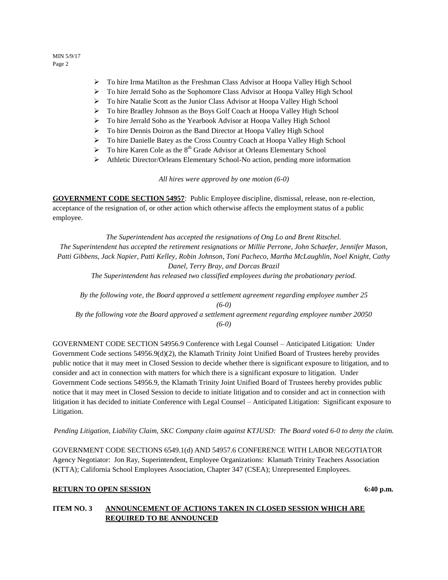- $\triangleright$  To hire Irma Matilton as the Freshman Class Advisor at Hoopa Valley High School
- To hire Jerrald Soho as the Sophomore Class Advisor at Hoopa Valley High School
- To hire Natalie Scott as the Junior Class Advisor at Hoopa Valley High School
- To hire Bradley Johnson as the Boys Golf Coach at Hoopa Valley High School
- To hire Jerrald Soho as the Yearbook Advisor at Hoopa Valley High School
- To hire Dennis Doiron as the Band Director at Hoopa Valley High School
- To hire Danielle Batey as the Cross Country Coach at Hoopa Valley High School
- $\triangleright$  To hire Karen Cole as the 8<sup>th</sup> Grade Advisor at Orleans Elementary School
- Athletic Director/Orleans Elementary School-No action, pending more information

*All hires were approved by one motion (6-0)*

**GOVERNMENT CODE SECTION 54957**: Public Employee discipline, dismissal, release, non re-election, acceptance of the resignation of, or other action which otherwise affects the employment status of a public employee.

*The Superintendent has accepted the resignations of Ong Lo and Brent Ritschel. The Superintendent has accepted the retirement resignations or Millie Perrone, John Schaefer, Jennifer Mason, Patti Gibbens, Jack Napier, Patti Kelley, Robin Johnson, Toni Pacheco, Martha McLaughlin, Noel Knight, Cathy Danel, Terry Bray, and Dorcas Brazil The Superintendent has released two classified employees during the probationary period.* 

*By the following vote, the Board approved a settlement agreement regarding employee number 25 (6-0) By the following vote the Board approved a settlement agreement regarding employee number 20050*

*(6-0)*

GOVERNMENT CODE SECTION 54956.9 Conference with Legal Counsel – Anticipated Litigation: Under Government Code sections 54956.9(d)(2), the Klamath Trinity Joint Unified Board of Trustees hereby provides public notice that it may meet in Closed Session to decide whether there is significant exposure to litigation, and to consider and act in connection with matters for which there is a significant exposure to litigation. Under Government Code sections 54956.9, the Klamath Trinity Joint Unified Board of Trustees hereby provides public notice that it may meet in Closed Session to decide to initiate litigation and to consider and act in connection with litigation it has decided to initiate Conference with Legal Counsel – Anticipated Litigation: Significant exposure to Litigation.

*Pending Litigation, Liability Claim, SKC Company claim against KTJUSD: The Board voted 6-0 to deny the claim.* 

GOVERNMENT CODE SECTIONS 6549.1(d) AND 54957.6 CONFERENCE WITH LABOR NEGOTIATOR Agency Negotiator: Jon Ray, Superintendent, Employee Organizations: Klamath Trinity Teachers Association (KTTA); California School Employees Association, Chapter 347 (CSEA); Unrepresented Employees.

# **RETURN TO OPEN SESSION** 6:40 **p.m.**

### **ITEM NO. 3 ANNOUNCEMENT OF ACTIONS TAKEN IN CLOSED SESSION WHICH ARE REQUIRED TO BE ANNOUNCED**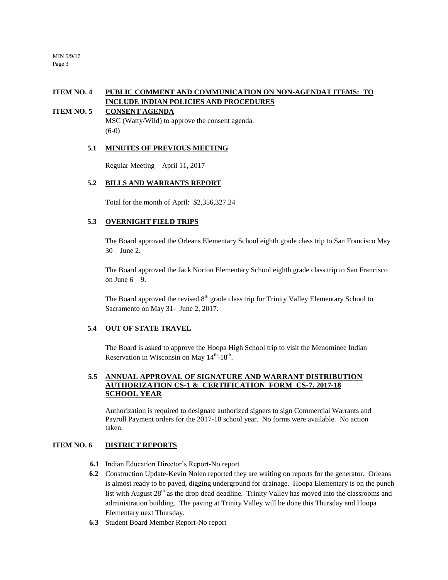# **ITEM NO. 4 PUBLIC COMMENT AND COMMUNICATION ON NON-AGENDAT ITEMS: TO INCLUDE INDIAN POLICIES AND PROCEDURES**

### **ITEM NO. 5 CONSENT AGENDA**

MSC (Watty/Wild) to approve the consent agenda. (6-0)

#### **5.1 MINUTES OF PREVIOUS MEETING**

Regular Meeting – April 11, 2017

#### **5.2 BILLS AND WARRANTS REPORT**

Total for the month of April: \$2,356,327.24

# **5.3 OVERNIGHT FIELD TRIPS**

The Board approved the Orleans Elementary School eighth grade class trip to San Francisco May 30 – June 2.

The Board approved the Jack Norton Elementary School eighth grade class trip to San Francisco on June  $6 - 9$ .

The Board approved the revised  $8<sup>th</sup>$  grade class trip for Trinity Valley Elementary School to Sacramento on May 31- June 2, 2017.

#### **5.4 OUT OF STATE TRAVEL**

The Board is asked to approve the Hoopa High School trip to visit the Menominee Indian Reservation in Wisconsin on May  $14^{\text{th}}$ -18<sup>th</sup>.

#### **5.5 ANNUAL APPROVAL OF SIGNATURE AND WARRANT DISTRIBUTION AUTHORIZATION CS-1 & CERTIFICATION FORM CS-7. 2017-18 SCHOOL YEAR**

Authorization is required to designate authorized signers to sign Commercial Warrants and Payroll Payment orders for the 2017-18 school year. No forms were available. No action taken.

### **ITEM NO. 6 DISTRICT REPORTS**

- **6.1** Indian Education Director's Report-No report
- **6.2** Construction Update-Kevin Nolen reported they are waiting on reports for the generator. Orleans is almost ready to be paved, digging underground for drainage. Hoopa Elementary is on the punch list with August  $28<sup>th</sup>$  as the drop dead deadline. Trinity Valley has moved into the classrooms and administration building. The paving at Trinity Valley will be done this Thursday and Hoopa Elementary next Thursday.
- **6.3** Student Board Member Report**-**No report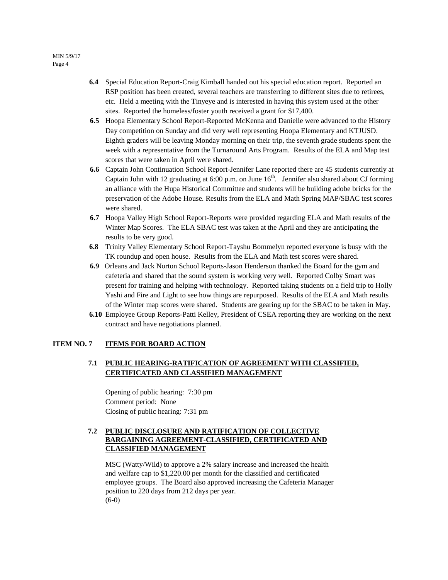- **6.4** Special Education Report**-**Craig Kimball handed out his special education report. Reported an RSP position has been created, several teachers are transferring to different sites due to retirees, etc. Held a meeting with the Tinyeye and is interested in having this system used at the other sites. Reported the homeless/foster youth received a grant for \$17,400.
- **6.5** Hoopa Elementary School Report-Reported McKenna and Danielle were advanced to the History Day competition on Sunday and did very well representing Hoopa Elementary and KTJUSD. Eighth graders will be leaving Monday morning on their trip, the seventh grade students spent the week with a representative from the Turnaround Arts Program. Results of the ELA and Map test scores that were taken in April were shared.
- **6.6** Captain John Continuation School Report-Jennifer Lane reported there are 45 students currently at Captain John with 12 graduating at 6:00 p.m. on June  $16<sup>th</sup>$ . Jennifer also shared about CJ forming an alliance with the Hupa Historical Committee and students will be building adobe bricks for the preservation of the Adobe House. Results from the ELA and Math Spring MAP/SBAC test scores were shared.
- **6.7** Hoopa Valley High School Report-Reports were provided regarding ELA and Math results of the Winter Map Scores. The ELA SBAC test was taken at the April and they are anticipating the results to be very good.
- **6.8** Trinity Valley Elementary School Report-Tayshu Bommelyn reported everyone is busy with the TK roundup and open house. Results from the ELA and Math test scores were shared.
- **6.9** Orleans and Jack Norton School Reports-Jason Henderson thanked the Board for the gym and cafeteria and shared that the sound system is working very well. Reported Colby Smart was present for training and helping with technology. Reported taking students on a field trip to Holly Yashi and Fire and Light to see how things are repurposed. Results of the ELA and Math results of the Winter map scores were shared. Students are gearing up for the SBAC to be taken in May.
- **6.10** Employee Group Reports-Patti Kelley, President of CSEA reporting they are working on the next contract and have negotiations planned.

#### **ITEM NO. 7 ITEMS FOR BOARD ACTION**

### **7.1 PUBLIC HEARING-RATIFICATION OF AGREEMENT WITH CLASSIFIED, CERTIFICATED AND CLASSIFIED MANAGEMENT**

Opening of public hearing: 7:30 pm Comment period: None Closing of public hearing: 7:31 pm

### **7.2 PUBLIC DISCLOSURE AND RATIFICATION OF COLLECTIVE BARGAINING AGREEMENT-CLASSIFIED, CERTIFICATED AND CLASSIFIED MANAGEMENT**

MSC (Watty/Wild) to approve a 2% salary increase and increased the health and welfare cap to \$1,220.00 per month for the classified and certificated employee groups. The Board also approved increasing the Cafeteria Manager position to 220 days from 212 days per year.  $(6-0)$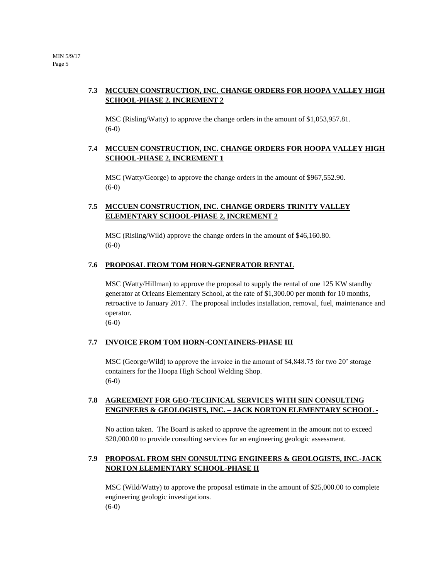# **7.3 MCCUEN CONSTRUCTION, INC. CHANGE ORDERS FOR HOOPA VALLEY HIGH SCHOOL-PHASE 2, INCREMENT 2**

MSC (Risling/Watty) to approve the change orders in the amount of \$1,053,957.81. (6-0)

# **7.4 MCCUEN CONSTRUCTION, INC. CHANGE ORDERS FOR HOOPA VALLEY HIGH SCHOOL-PHASE 2, INCREMENT 1**

MSC (Watty/George) to approve the change orders in the amount of \$967,552.90. (6-0)

# **7.5 MCCUEN CONSTRUCTION, INC. CHANGE ORDERS TRINITY VALLEY ELEMENTARY SCHOOL-PHASE 2, INCREMENT 2**

MSC (Risling/Wild) approve the change orders in the amount of \$46,160.80. (6-0)

### **7.6 PROPOSAL FROM TOM HORN-GENERATOR RENTAL**

MSC (Watty/Hillman) to approve the proposal to supply the rental of one 125 KW standby generator at Orleans Elementary School, at the rate of \$1,300.00 per month for 10 months, retroactive to January 2017. The proposal includes installation, removal, fuel, maintenance and operator.

(6-0)

# **7.7 INVOICE FROM TOM HORN-CONTAINERS-PHASE III**

MSC (George/Wild) to approve the invoice in the amount of \$4,848.75 for two 20' storage containers for the Hoopa High School Welding Shop. (6-0)

# **7.8 AGREEMENT FOR GEO-TECHNICAL SERVICES WITH SHN CONSULTING ENGINEERS & GEOLOGISTS, INC. – JACK NORTON ELEMENTARY SCHOOL -**

No action taken. The Board is asked to approve the agreement in the amount not to exceed \$20,000.00 to provide consulting services for an engineering geologic assessment.

# **7.9 PROPOSAL FROM SHN CONSULTING ENGINEERS & GEOLOGISTS, INC.-JACK NORTON ELEMENTARY SCHOOL-PHASE II**

MSC (Wild/Watty) to approve the proposal estimate in the amount of \$25,000.00 to complete engineering geologic investigations. (6-0)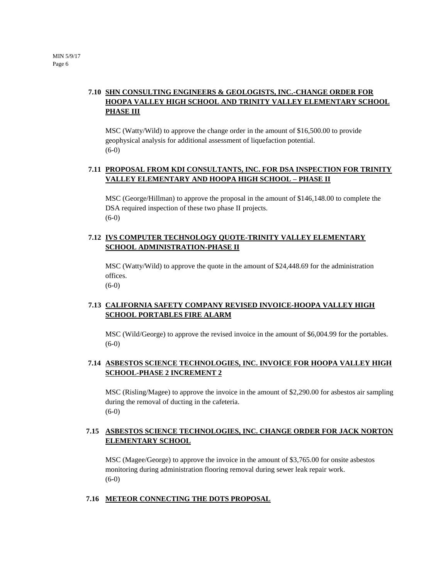# **7.10 SHN CONSULTING ENGINEERS & GEOLOGISTS, INC.-CHANGE ORDER FOR HOOPA VALLEY HIGH SCHOOL AND TRINITY VALLEY ELEMENTARY SCHOOL PHASE III**

MSC (Watty/Wild) to approve the change order in the amount of \$16,500.00 to provide geophysical analysis for additional assessment of liquefaction potential. (6-0)

# **7.11 PROPOSAL FROM KDI CONSULTANTS, INC. FOR DSA INSPECTION FOR TRINITY VALLEY ELEMENTARY AND HOOPA HIGH SCHOOL – PHASE II**

MSC (George/Hillman) to approve the proposal in the amount of \$146,148.00 to complete the DSA required inspection of these two phase II projects. (6-0)

# **7.12 IVS COMPUTER TECHNOLOGY QUOTE-TRINITY VALLEY ELEMENTARY SCHOOL ADMINISTRATION-PHASE II**

MSC (Watty/Wild) to approve the quote in the amount of \$24,448.69 for the administration offices. (6-0)

# **7.13 CALIFORNIA SAFETY COMPANY REVISED INVOICE-HOOPA VALLEY HIGH SCHOOL PORTABLES FIRE ALARM**

MSC (Wild/George) to approve the revised invoice in the amount of \$6,004.99 for the portables. (6-0)

# **7.14 ASBESTOS SCIENCE TECHNOLOGIES, INC. INVOICE FOR HOOPA VALLEY HIGH SCHOOL-PHASE 2 INCREMENT 2**

MSC (Risling/Magee) to approve the invoice in the amount of \$2,290.00 for asbestos air sampling during the removal of ducting in the cafeteria. (6-0)

# **7.15 ASBESTOS SCIENCE TECHNOLOGIES, INC. CHANGE ORDER FOR JACK NORTON ELEMENTARY SCHOOL**

MSC (Magee/George) to approve the invoice in the amount of \$3,765.00 for onsite asbestos monitoring during administration flooring removal during sewer leak repair work. (6-0)

# **7.16 METEOR CONNECTING THE DOTS PROPOSAL**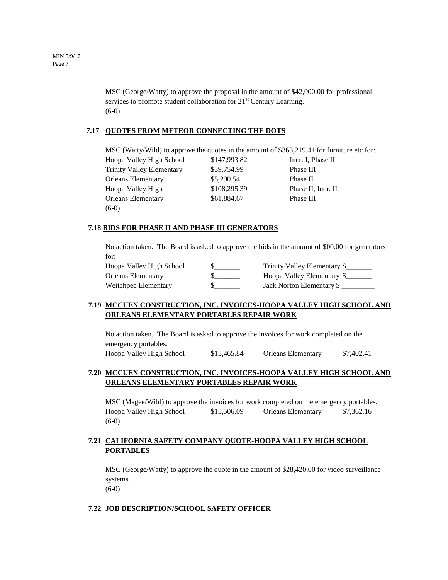MSC (George/Watty) to approve the proposal in the amount of \$42,000.00 for professional services to promote student collaboration for  $21<sup>st</sup>$  Century Learning. (6-0)

#### **7.17 QUOTES FROM METEOR CONNECTING THE DOTS**

MSC (Watty/Wild) to approve the quotes in the amount of \$363,219.41 for furniture etc for: Hoopa Valley High School \$147,993.82 Incr. I, Phase II Trinity Valley Elementary \$39,754.99 Phase III Orleans Elementary \$5,290.54 Phase II Hoopa Valley High  $$108,295.39$  Phase II, Incr. II Orleans Elementary  $$61,884.67$  Phase III (6-0)

#### **7.18 BIDS FOR PHASE II AND PHASE III GENERATORS**

No action taken. The Board is asked to approve the bids in the amount of \$00.00 for generators for:

| Hoopa Valley High School | Trinity Valley Elementary \$ |
|--------------------------|------------------------------|
| Orleans Elementary       | Hoopa Valley Elementary \$   |
| Weitchpec Elementary     | Jack Norton Elementary \$    |

#### **7.19 MCCUEN CONSTRUCTION, INC. INVOICES-HOOPA VALLEY HIGH SCHOOL AND ORLEANS ELEMENTARY PORTABLES REPAIR WORK**

No action taken. The Board is asked to approve the invoices for work completed on the emergency portables. Hoopa Valley High School \$15,465.84 Orleans Elementary \$7,402.41

# **7.20 MCCUEN CONSTRUCTION, INC. INVOICES-HOOPA VALLEY HIGH SCHOOL AND ORLEANS ELEMENTARY PORTABLES REPAIR WORK**

MSC (Magee/Wild) to approve the invoices for work completed on the emergency portables. Hoopa Valley High School \$15,506.09 Orleans Elementary \$7,362.16 (6-0)

# **7.21 CALIFORNIA SAFETY COMPANY QUOTE-HOOPA VALLEY HIGH SCHOOL PORTABLES**

MSC (George/Watty) to approve the quote in the amount of \$28,420.00 for video surveillance systems.

(6-0)

#### **7.22 JOB DESCRIPTION/SCHOOL SAFETY OFFICER**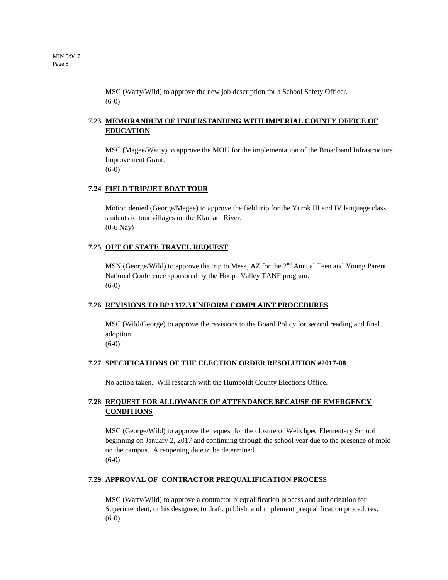MSC (Watty/Wild) to approve the new job description for a School Safety Officer. (6-0)

# **7.23 MEMORANDUM OF UNDERSTANDING WITH IMPERIAL COUNTY OFFICE OF EDUCATION**

MSC (Magee/Watty) to approve the MOU for the implementation of the Broadband Infrastructure Improvement Grant. (6-0)

#### **7.24 FIELD TRIP/JET BOAT TOUR**

Motion denied (George/Magee) to approve the field trip for the Yurok III and IV language class students to tour villages on the Klamath River. (0-6 Nay)

#### **7.25 OUT OF STATE TRAVEL REQUEST**

MSN (George/Wild) to approve the trip to Mesa, AZ for the  $2<sup>nd</sup>$  Annual Teen and Young Parent National Conference sponsored by the Hoopa Valley TANF program. (6-0)

#### **7.26 REVISIONS TO BP 1312.3 UNIFORM COMPLAINT PROCEDURES**

MSC (Wild/George) to approve the revisions to the Board Policy for second reading and final adoption.

(6-0)

#### **7.27 SPECIFICATIONS OF THE ELECTION ORDER RESOLUTION #2017-08**

No action taken. Will research with the Humboldt County Elections Office.

# **7.28 REQUEST FOR ALLOWANCE OF ATTENDANCE BECAUSE OF EMERGENCY CONDITIONS**

MSC (George/Wild) to approve the request for the closure of Weitchpec Elementary School beginning on January 2, 2017 and continuing through the school year due to the presence of mold on the campus. A reopening date to be determined. (6-0)

#### **7.29 APPROVAL OF CONTRACTOR PREQUALIFICATION PROCESS**

MSC (Watty/Wild) to approve a contractor prequalification process and authorization for Superintendent, or his designee, to draft, publish, and implement prequalification procedures. (6-0)